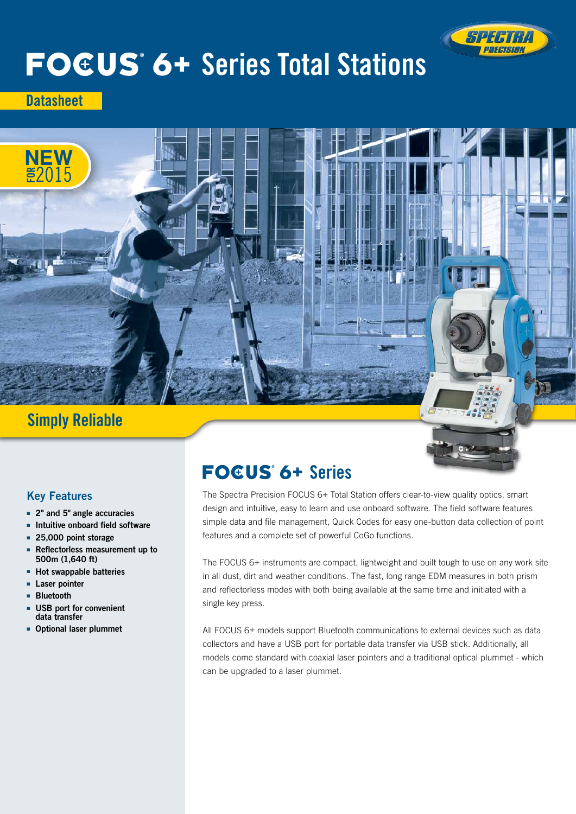

# **FOEUS 6+ Series Total Stations**

**Datasheet** 



# Simply Reliable

# Key Features

- 2" and 5" angle accuracies
- Intuitive onboard field software
- 25,000 point storage
- Reflectorless measurement up to 500m (1,640 ft)
- Hot swappable batteries
- Laser pointer
- Bluetooth
- USB port for convenient data transfer
- Optional laser plummet

# **FOGUS 6+ Series**

The Spectra Precision FOCUS 6+ Total Station offers clear-to-view quality optics, smart design and intuitive, easy to learn and use onboard software. The field software features simple data and file management, Quick Codes for easy one-button data collection of point features and a complete set of powerful CoGo functions.

The FOCUS 6+ instruments are compact, lightweight and built tough to use on any work site in all dust, dirt and weather conditions. The fast, long range EDM measures in both prism and reflectorless modes with both being available at the same time and initiated with a single key press.

All FOCUS 6+ models support Bluetooth communications to external devices such as data collectors and have a USB port for portable data transfer via USB stick. Additionally, all models come standard with coaxial laser pointers and a traditional optical plummet - which can be upgraded to a laser plummet.